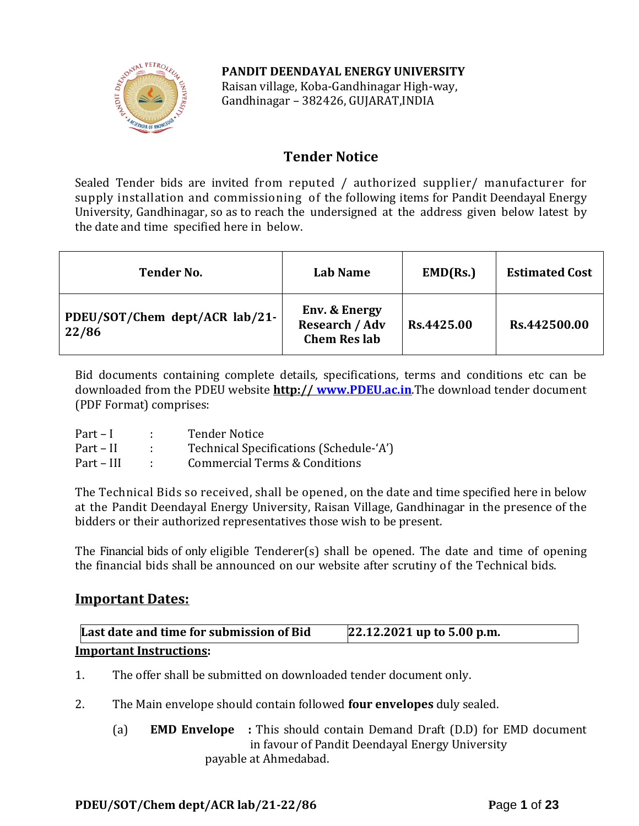## **PANDIT DEENDAYAL ENERGY UNIVERSITY**



Raisan village, Koba-Gandhinagar High-way, Gandhinagar – 382426, GUJARAT,INDIA

# **Tender Notice**

Sealed Tender bids are invited from reputed / authorized supplier/ manufacturer for supply installation and commissioning of the following items for Pandit Deendayal Energy University, Gandhinagar, so as to reach the undersigned at the address given below latest by the date and time specified here in below.

| <b>Tender No.</b>                       | Lab Name                                                                 | EMD(Rs.)   | <b>Estimated Cost</b> |
|-----------------------------------------|--------------------------------------------------------------------------|------------|-----------------------|
| PDEU/SOT/Chem dept/ACR lab/21-<br>22/86 | <b>Env. &amp; Energy</b><br><b>Research / Adv</b><br><b>Chem Res lab</b> | Rs.4425.00 | Rs.442500.00          |

Bid documents containing complete details, specifications, terms and conditions etc can be downloaded from the PDEU website **http:// [www.PDEU.ac.in](http://www.pdpu.ac.in/)**.The download tender document (PDF Format) comprises:

| $Part - I$ | <b>Tender Notice</b>                     |
|------------|------------------------------------------|
| Part – II  | Technical Specifications (Schedule-'A')  |
| Part – III | <b>Commercial Terms &amp; Conditions</b> |

The Technical Bids so received, shall be opened, on the date and time specified here in below at the Pandit Deendayal Energy University, Raisan Village, Gandhinagar in the presence of the bidders or their authorized representatives those wish to be present.

The Financial bids of only eligible Tenderer(s) shall be opened. The date and time of opening the financial bids shall be announced on our website after scrutiny of the Technical bids.

## **Important Dates:**

| Last date and time for submission of Bid | 22.12.2021 up to 5.00 p.m. |
|------------------------------------------|----------------------------|
| <b>Important Instructions:</b>           |                            |

- 1. The offer shall be submitted on downloaded tender document only.
- 2. The Main envelope should contain followed **four envelopes** duly sealed.
	- (a) **EMD Envelope :** This should contain Demand Draft (D.D) for EMD document in favour of Pandit Deendayal Energy University payable at Ahmedabad.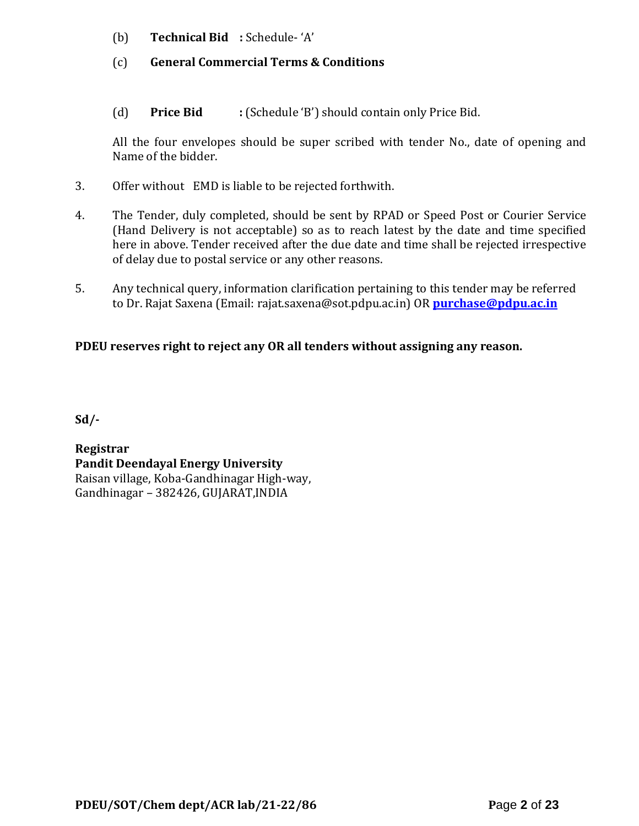- (b) **Technical Bid :** Schedule- 'A'
- (c) **General Commercial Terms & Conditions**
- (d) **Price Bid :** (Schedule 'B') should contain only Price Bid.

All the four envelopes should be super scribed with tender No., date of opening and Name of the bidder.

- 3. Offer without EMD is liable to be rejected forthwith.
- 4. The Tender, duly completed, should be sent by RPAD or Speed Post or Courier Service (Hand Delivery is not acceptable) so as to reach latest by the date and time specified here in above. Tender received after the due date and time shall be rejected irrespective of delay due to postal service or any other reasons.
- 5. Any technical query, information clarification pertaining to this tender may be referred to Dr. Rajat Saxena (Email: rajat.saxena@sot.pdpu.ac.in) OR **[purchase@pdpu.ac.in](mailto:purchase@pdpu.ac.in)**

## **PDEU reserves right to reject any OR all tenders without assigning any reason.**

**Sd/-**

**Registrar Pandit Deendayal Energy University** Raisan village, Koba-Gandhinagar High-way, Gandhinagar – 382426, GUJARAT,INDIA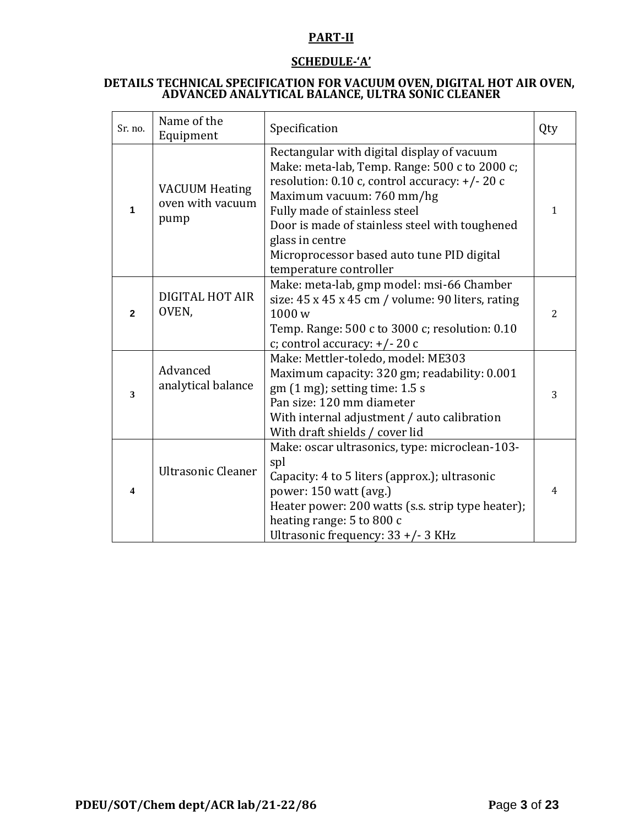## **PART-II**

## **SCHEDULE-'A'**

#### **DETAILS TECHNICAL SPECIFICATION FOR VACUUM OVEN, DIGITAL HOT AIR OVEN, ADVANCED ANALYTICAL BALANCE, ULTRA SONIC CLEANER**

| Sr. no.                 | Name of the<br>Equipment                          | Specification                                                                                                                                                                                                                                                                                                                                           | Qty            |
|-------------------------|---------------------------------------------------|---------------------------------------------------------------------------------------------------------------------------------------------------------------------------------------------------------------------------------------------------------------------------------------------------------------------------------------------------------|----------------|
| 1                       | <b>VACUUM Heating</b><br>oven with vacuum<br>pump | Rectangular with digital display of vacuum<br>Make: meta-lab, Temp. Range: 500 c to 2000 c;<br>resolution: 0.10 c, control accuracy: +/-20 c<br>Maximum vacuum: 760 mm/hg<br>Fully made of stainless steel<br>Door is made of stainless steel with toughened<br>glass in centre<br>Microprocessor based auto tune PID digital<br>temperature controller | $\mathbf{1}$   |
| $\mathbf{2}$            | DIGITAL HOT AIR<br>OVEN,                          | Make: meta-lab, gmp model: msi-66 Chamber<br>size: 45 x 45 x 45 cm / volume: 90 liters, rating<br>1000w<br>Temp. Range: 500 c to 3000 c; resolution: 0.10<br>c; control accuracy: +/-20 c                                                                                                                                                               | 2              |
| $\mathbf{3}$            | Advanced<br>analytical balance                    | Make: Mettler-toledo, model: ME303<br>Maximum capacity: 320 gm; readability: 0.001<br>gm (1 mg); setting time: 1.5 s<br>Pan size: 120 mm diameter<br>With internal adjustment / auto calibration<br>With draft shields / cover lid                                                                                                                      | 3              |
| $\overline{\mathbf{4}}$ | <b>Ultrasonic Cleaner</b>                         | Make: oscar ultrasonics, type: microclean-103-<br>spl<br>Capacity: 4 to 5 liters (approx.); ultrasonic<br>power: 150 watt (avg.)<br>Heater power: 200 watts (s.s. strip type heater);<br>heating range: 5 to 800 c<br>Ultrasonic frequency: 33 +/- 3 KHz                                                                                                | $\overline{4}$ |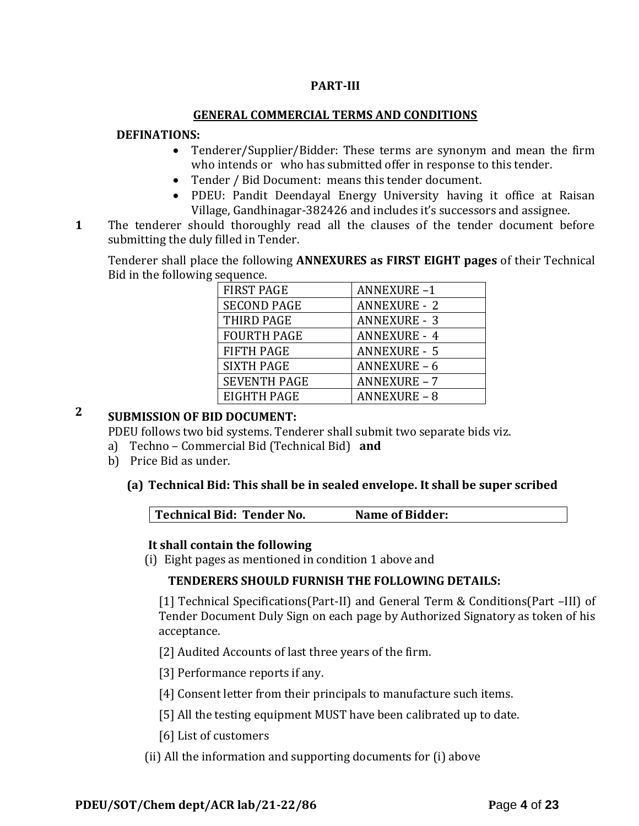## **PART-III**

#### **GENERAL COMMERCIAL TERMS AND CONDITIONS**

#### **DEFINATIONS:**

- Tenderer/Supplier/Bidder: These terms are synonym and mean the firm who intends or who has submitted offer in response to this tender.
- Tender / Bid Document: means this tender document.
- PDEU: Pandit Deendayal Energy University having it office at Raisan Village, Gandhinagar-382426 and includes it's successors and assignee.
- **1**1. The tenderer should thoroughly read all the clauses of the tender document before submitting the duly filled in Tender.

Tenderer shall place the following **ANNEXURES as FIRST EIGHT pages** of their Technical Bid in the following sequence.

| <b>FIRST PAGE</b>   | <b>ANNEXURE-1</b>   |
|---------------------|---------------------|
| <b>SECOND PAGE</b>  | <b>ANNEXURE - 2</b> |
| THIRD PAGE          | <b>ANNEXURE - 3</b> |
| <b>FOURTH PAGE</b>  | <b>ANNEXURE - 4</b> |
| <b>FIFTH PAGE</b>   | <b>ANNEXURE - 5</b> |
| <b>SIXTH PAGE</b>   | ANNEXURE-6          |
| <b>SEVENTH PAGE</b> | <b>ANNEXURE - 7</b> |
| EIGHTH PAGE         | <b>ANNEXURE - 8</b> |

# **2 SUBMISSION OF BID DOCUMENT:**

PDEU follows two bid systems. Tenderer shall submit two separate bids viz.

- a) Techno Commercial Bid (Technical Bid) **and**
- b) Price Bid as under.

#### **(a) Technical Bid: This shall be in sealed envelope. It shall be super scribed**

|  | Technical Bid: Tender No. | <b>Name of Bidder:</b> |
|--|---------------------------|------------------------|
|--|---------------------------|------------------------|

#### **It shall contain the following**

(i) Eight pages as mentioned in condition 1 above and

#### **TENDERERS SHOULD FURNISH THE FOLLOWING DETAILS:**

[1] Technical Specifications(Part-II) and General Term & Conditions(Part –III) of Tender Document Duly Sign on each page by Authorized Signatory as token of his acceptance.

[2] Audited Accounts of last three years of the firm.

[3] Performance reports if any.

[4] Consent letter from their principals to manufacture such items.

[5] All the testing equipment MUST have been calibrated up to date.

[6] List of customers

(ii) All the information and supporting documents for (i) above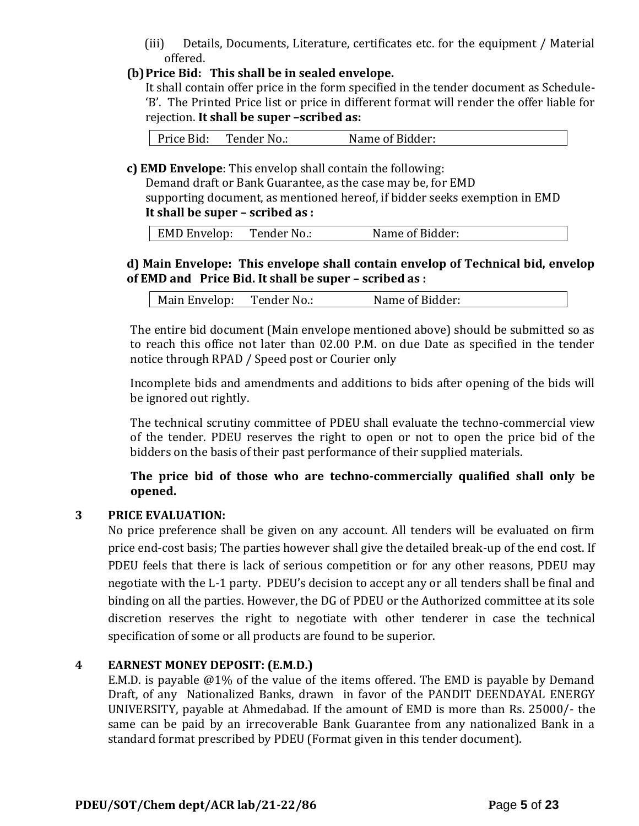(iii) Details, Documents, Literature, certificates etc. for the equipment / Material offered.

## **(b)Price Bid: This shall be in sealed envelope.**

It shall contain offer price in the form specified in the tender document as Schedule- 'B'. The Printed Price list or price in different format will render the offer liable for rejection. **It shall be super –scribed as:**

Price Bid: Tender No.: Name of Bidder:

**c) EMD Envelope**: This envelop shall contain the following:

Demand draft or Bank Guarantee, as the case may be, for EMD supporting document, as mentioned hereof, if bidder seeks exemption in EMD **It shall be super – scribed as :**

| <b>EMD Envelop:</b> | Tender No.: | Name of Bidder: |
|---------------------|-------------|-----------------|
|                     |             |                 |

## **d) Main Envelope: This envelope shall contain envelop of Technical bid, envelop of EMD and Price Bid. It shall be super – scribed as :**

| Tender No.:<br>Name of Bidder:<br>Main Envelop: |
|-------------------------------------------------|
|-------------------------------------------------|

The entire bid document (Main envelope mentioned above) should be submitted so as to reach this office not later than 02.00 P.M. on due Date as specified in the tender notice through RPAD / Speed post or Courier only

Incomplete bids and amendments and additions to bids after opening of the bids will be ignored out rightly.

The technical scrutiny committee of PDEU shall evaluate the techno-commercial view of the tender. PDEU reserves the right to open or not to open the price bid of the bidders on the basis of their past performance of their supplied materials.

**The price bid of those who are techno-commercially qualified shall only be opened.** 

## **3 PRICE EVALUATION:**

No price preference shall be given on any account. All tenders will be evaluated on firm price end-cost basis; The parties however shall give the detailed break-up of the end cost. If PDEU feels that there is lack of serious competition or for any other reasons, PDEU may negotiate with the L-1 party. PDEU's decision to accept any or all tenders shall be final and binding on all the parties. However, the DG of PDEU or the Authorized committee at its sole discretion reserves the right to negotiate with other tenderer in case the technical specification of some or all products are found to be superior.

#### **4 EARNEST MONEY DEPOSIT: (E.M.D.)**

E.M.D. is payable @1% of the value of the items offered. The EMD is payable by Demand Draft, of any Nationalized Banks, drawn in favor of the PANDIT DEENDAYAL ENERGY UNIVERSITY, payable at Ahmedabad. If the amount of EMD is more than Rs. 25000/- the same can be paid by an irrecoverable Bank Guarantee from any nationalized Bank in a standard format prescribed by PDEU (Format given in this tender document).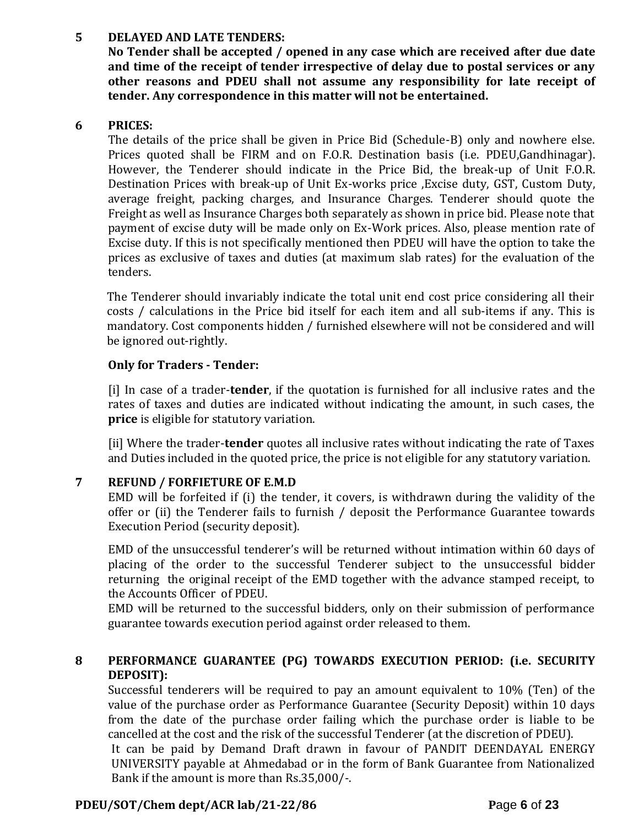## **5 DELAYED AND LATE TENDERS:**

**No Tender shall be accepted / opened in any case which are received after due date and time of the receipt of tender irrespective of delay due to postal services or any other reasons and PDEU shall not assume any responsibility for late receipt of tender. Any correspondence in this matter will not be entertained.**

#### **6 PRICES:**

The details of the price shall be given in Price Bid (Schedule-B) only and nowhere else. Prices quoted shall be FIRM and on F.O.R. Destination basis (i.e. PDEU,Gandhinagar). However, the Tenderer should indicate in the Price Bid, the break-up of Unit F.O.R. Destination Prices with break-up of Unit Ex-works price ,Excise duty, GST, Custom Duty, average freight, packing charges, and Insurance Charges. Tenderer should quote the Freight as well as Insurance Charges both separately as shown in price bid. Please note that payment of excise duty will be made only on Ex-Work prices. Also, please mention rate of Excise duty. If this is not specifically mentioned then PDEU will have the option to take the prices as exclusive of taxes and duties (at maximum slab rates) for the evaluation of the tenders.

The Tenderer should invariably indicate the total unit end cost price considering all their costs / calculations in the Price bid itself for each item and all sub-items if any. This is mandatory. Cost components hidden / furnished elsewhere will not be considered and will be ignored out-rightly.

## **Only for Traders - Tender:**

[i] In case of a trader-**tender**, if the quotation is furnished for all inclusive rates and the rates of taxes and duties are indicated without indicating the amount, in such cases, the **price** is eligible for statutory variation.

[ii] Where the trader-**tender** quotes all inclusive rates without indicating the rate of Taxes and Duties included in the quoted price, the price is not eligible for any statutory variation.

## **7 REFUND / FORFIETURE OF E.M.D**

EMD will be forfeited if (i) the tender, it covers, is withdrawn during the validity of the offer or (ii) the Tenderer fails to furnish / deposit the Performance Guarantee towards Execution Period (security deposit).

EMD of the unsuccessful tenderer's will be returned without intimation within 60 days of placing of the order to the successful Tenderer subject to the unsuccessful bidder returning the original receipt of the EMD together with the advance stamped receipt, to the Accounts Officer of PDEU.

EMD will be returned to the successful bidders, only on their submission of performance guarantee towards execution period against order released to them.

## **8 PERFORMANCE GUARANTEE (PG) TOWARDS EXECUTION PERIOD: (i.e. SECURITY DEPOSIT):**

Successful tenderers will be required to pay an amount equivalent to 10% (Ten) of the value of the purchase order as Performance Guarantee (Security Deposit) within 10 days from the date of the purchase order failing which the purchase order is liable to be cancelled at the cost and the risk of the successful Tenderer (at the discretion of PDEU).

It can be paid by Demand Draft drawn in favour of PANDIT DEENDAYAL ENERGY UNIVERSITY payable at Ahmedabad or in the form of Bank Guarantee from Nationalized Bank if the amount is more than Rs.35,000/-.

#### **PDEU/SOT/Chem dept/ACR lab/21-22/86 P**age **6** of **23**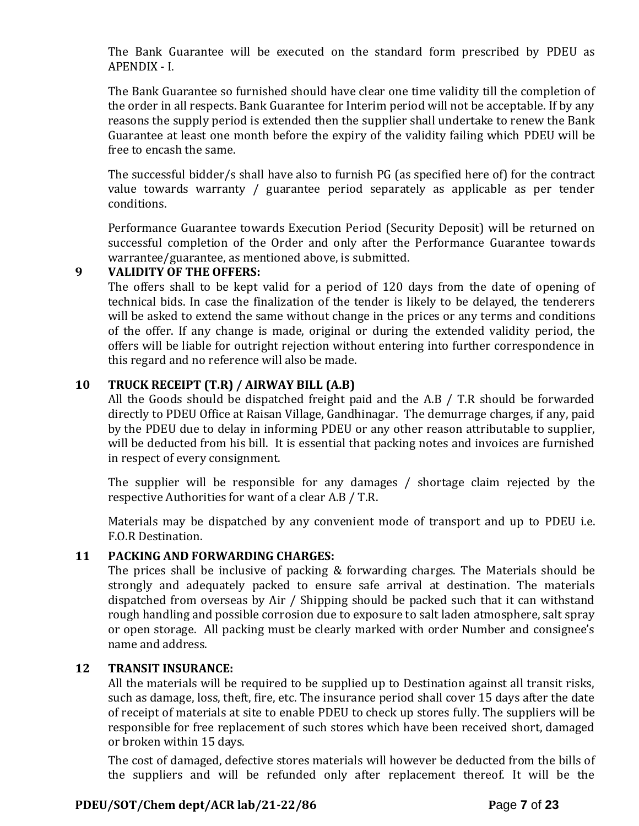The Bank Guarantee will be executed on the standard form prescribed by PDEU as APENDIX - I.

The Bank Guarantee so furnished should have clear one time validity till the completion of the order in all respects. Bank Guarantee for Interim period will not be acceptable. If by any reasons the supply period is extended then the supplier shall undertake to renew the Bank Guarantee at least one month before the expiry of the validity failing which PDEU will be free to encash the same.

The successful bidder/s shall have also to furnish PG (as specified here of) for the contract value towards warranty / guarantee period separately as applicable as per tender conditions.

Performance Guarantee towards Execution Period (Security Deposit) will be returned on successful completion of the Order and only after the Performance Guarantee towards warrantee/guarantee, as mentioned above, is submitted.

## **9 VALIDITY OF THE OFFERS:**

The offers shall to be kept valid for a period of 120 days from the date of opening of technical bids. In case the finalization of the tender is likely to be delayed, the tenderers will be asked to extend the same without change in the prices or any terms and conditions of the offer. If any change is made, original or during the extended validity period, the offers will be liable for outright rejection without entering into further correspondence in this regard and no reference will also be made.

## **10 TRUCK RECEIPT (T.R) / AIRWAY BILL (A.B)**

All the Goods should be dispatched freight paid and the A.B / T.R should be forwarded directly to PDEU Office at Raisan Village, Gandhinagar. The demurrage charges, if any, paid by the PDEU due to delay in informing PDEU or any other reason attributable to supplier, will be deducted from his bill. It is essential that packing notes and invoices are furnished in respect of every consignment.

The supplier will be responsible for any damages / shortage claim rejected by the respective Authorities for want of a clear A.B / T.R.

Materials may be dispatched by any convenient mode of transport and up to PDEU i.e. F.O.R Destination.

## **11 PACKING AND FORWARDING CHARGES:**

The prices shall be inclusive of packing & forwarding charges. The Materials should be strongly and adequately packed to ensure safe arrival at destination. The materials dispatched from overseas by Air / Shipping should be packed such that it can withstand rough handling and possible corrosion due to exposure to salt laden atmosphere, salt spray or open storage. All packing must be clearly marked with order Number and consignee's name and address.

#### **12 TRANSIT INSURANCE:**

All the materials will be required to be supplied up to Destination against all transit risks, such as damage, loss, theft, fire, etc. The insurance period shall cover 15 days after the date of receipt of materials at site to enable PDEU to check up stores fully. The suppliers will be responsible for free replacement of such stores which have been received short, damaged or broken within 15 days.

The cost of damaged, defective stores materials will however be deducted from the bills of the suppliers and will be refunded only after replacement thereof. It will be the

#### **PDEU/SOT/Chem dept/ACR lab/21-22/86 P**age **7** of **23**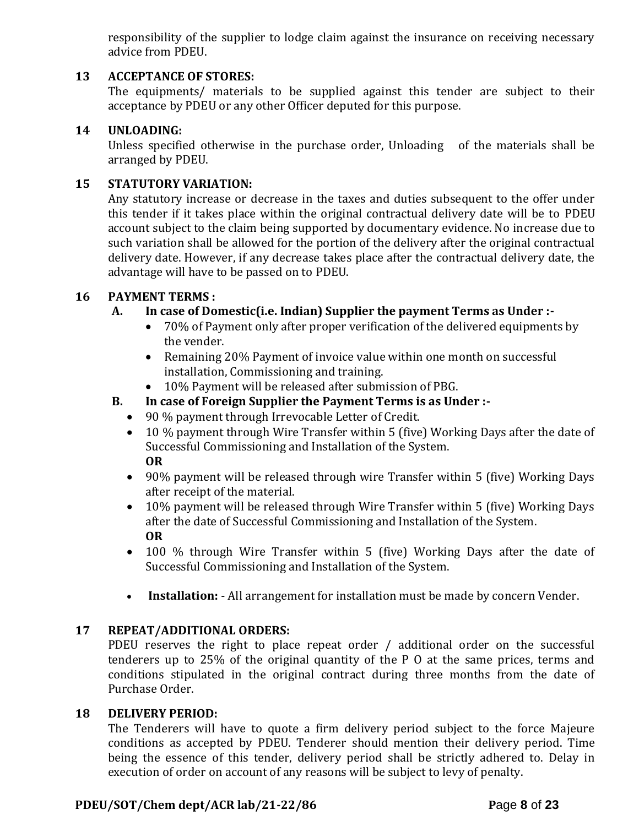responsibility of the supplier to lodge claim against the insurance on receiving necessary advice from PDEU.

### **13 ACCEPTANCE OF STORES:**

The equipments/ materials to be supplied against this tender are subject to their acceptance by PDEU or any other Officer deputed for this purpose.

#### **14 UNLOADING:**

Unless specified otherwise in the purchase order, Unloading of the materials shall be arranged by PDEU.

#### **15 STATUTORY VARIATION:**

Any statutory increase or decrease in the taxes and duties subsequent to the offer under this tender if it takes place within the original contractual delivery date will be to PDEU account subject to the claim being supported by documentary evidence. No increase due to such variation shall be allowed for the portion of the delivery after the original contractual delivery date. However, if any decrease takes place after the contractual delivery date, the advantage will have to be passed on to PDEU.

#### **16 PAYMENT TERMS :**

#### **A. In case of Domestic(i.e. Indian) Supplier the payment Terms as Under :-**

- 70% of Payment only after proper verification of the delivered equipments by the vender.
- Remaining 20% Payment of invoice value within one month on successful installation, Commissioning and training.
- 10% Payment will be released after submission of PBG.
- **B. In case of Foreign Supplier the Payment Terms is as Under :-**
	- 90 % payment through Irrevocable Letter of Credit.
	- 10 % payment through Wire Transfer within 5 (five) Working Days after the date of Successful Commissioning and Installation of the System. **OR**
	- 90% payment will be released through wire Transfer within 5 (five) Working Days after receipt of the material.
	- 10% payment will be released through Wire Transfer within 5 (five) Working Days after the date of Successful Commissioning and Installation of the System. **OR**
	- 100 % through Wire Transfer within 5 (five) Working Days after the date of Successful Commissioning and Installation of the System.
	- **Installation:** All arrangement for installation must be made by concern Vender.

#### **17 REPEAT/ADDITIONAL ORDERS:**

PDEU reserves the right to place repeat order / additional order on the successful tenderers up to 25% of the original quantity of the P O at the same prices, terms and conditions stipulated in the original contract during three months from the date of Purchase Order.

#### **18 DELIVERY PERIOD:**

The Tenderers will have to quote a firm delivery period subject to the force Majeure conditions as accepted by PDEU. Tenderer should mention their delivery period. Time being the essence of this tender, delivery period shall be strictly adhered to. Delay in execution of order on account of any reasons will be subject to levy of penalty.

#### **PDEU/SOT/Chem dept/ACR lab/21-22/86 P**age **8** of **23**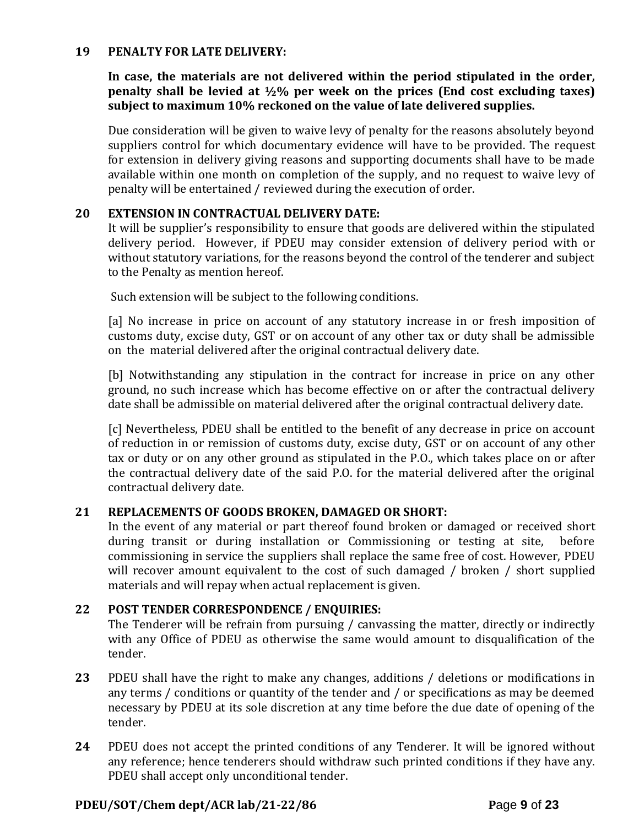#### **19 PENALTY FOR LATE DELIVERY:**

**In case, the materials are not delivered within the period stipulated in the order, penalty shall be levied at ½% per week on the prices (End cost excluding taxes) subject to maximum 10% reckoned on the value of late delivered supplies.**

Due consideration will be given to waive levy of penalty for the reasons absolutely beyond suppliers control for which documentary evidence will have to be provided. The request for extension in delivery giving reasons and supporting documents shall have to be made available within one month on completion of the supply, and no request to waive levy of penalty will be entertained / reviewed during the execution of order.

#### **20 EXTENSION IN CONTRACTUAL DELIVERY DATE:**

It will be supplier's responsibility to ensure that goods are delivered within the stipulated delivery period. However, if PDEU may consider extension of delivery period with or without statutory variations, for the reasons beyond the control of the tenderer and subject to the Penalty as mention hereof.

Such extension will be subject to the following conditions.

[a] No increase in price on account of any statutory increase in or fresh imposition of customs duty, excise duty, GST or on account of any other tax or duty shall be admissible on the material delivered after the original contractual delivery date.

[b] Notwithstanding any stipulation in the contract for increase in price on any other ground, no such increase which has become effective on or after the contractual delivery date shall be admissible on material delivered after the original contractual delivery date.

[c] Nevertheless, PDEU shall be entitled to the benefit of any decrease in price on account of reduction in or remission of customs duty, excise duty, GST or on account of any other tax or duty or on any other ground as stipulated in the P.O., which takes place on or after the contractual delivery date of the said P.O. for the material delivered after the original contractual delivery date.

#### **21 REPLACEMENTS OF GOODS BROKEN, DAMAGED OR SHORT:**

In the event of any material or part thereof found broken or damaged or received short during transit or during installation or Commissioning or testing at site, before commissioning in service the suppliers shall replace the same free of cost. However, PDEU will recover amount equivalent to the cost of such damaged / broken / short supplied materials and will repay when actual replacement is given.

#### **22 POST TENDER CORRESPONDENCE / ENQUIRIES:**

The Tenderer will be refrain from pursuing / canvassing the matter, directly or indirectly with any Office of PDEU as otherwise the same would amount to disqualification of the tender.

- **23** PDEU shall have the right to make any changes, additions / deletions or modifications in any terms / conditions or quantity of the tender and / or specifications as may be deemed necessary by PDEU at its sole discretion at any time before the due date of opening of the tender.
- **24** PDEU does not accept the printed conditions of any Tenderer. It will be ignored without any reference; hence tenderers should withdraw such printed conditions if they have any. PDEU shall accept only unconditional tender.

#### **PDEU/SOT/Chem dept/ACR lab/21-22/86 P**age **9** of **23**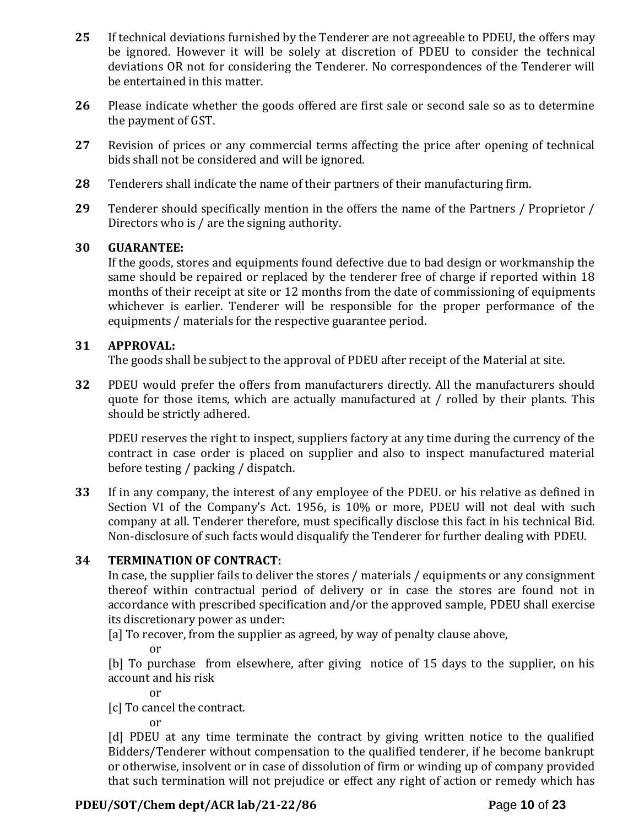- **25** If technical deviations furnished by the Tenderer are not agreeable to PDEU, the offers may be ignored. However it will be solely at discretion of PDEU to consider the technical deviations OR not for considering the Tenderer. No correspondences of the Tenderer will be entertained in this matter.
- **26** Please indicate whether the goods offered are first sale or second sale so as to determine the payment of GST.
- **27** Revision of prices or any commercial terms affecting the price after opening of technical bids shall not be considered and will be ignored.
- **28** Tenderers shall indicate the name of their partners of their manufacturing firm.
- **29** Tenderer should specifically mention in the offers the name of the Partners / Proprietor / Directors who is / are the signing authority.

#### **30 GUARANTEE:**

If the goods, stores and equipments found defective due to bad design or workmanship the same should be repaired or replaced by the tenderer free of charge if reported within 18 months of their receipt at site or 12 months from the date of commissioning of equipments whichever is earlier. Tenderer will be responsible for the proper performance of the equipments / materials for the respective guarantee period.

#### **31 APPROVAL:**

The goods shall be subject to the approval of PDEU after receipt of the Material at site.

**32** PDEU would prefer the offers from manufacturers directly. All the manufacturers should quote for those items, which are actually manufactured at / rolled by their plants. This should be strictly adhered.

PDEU reserves the right to inspect, suppliers factory at any time during the currency of the contract in case order is placed on supplier and also to inspect manufactured material before testing / packing / dispatch.

**33** If in any company, the interest of any employee of the PDEU. or his relative as defined in Section VI of the Company's Act. 1956, is 10% or more, PDEU will not deal with such company at all. Tenderer therefore, must specifically disclose this fact in his technical Bid. Non-disclosure of such facts would disqualify the Tenderer for further dealing with PDEU.

## **34 TERMINATION OF CONTRACT:**

In case, the supplier fails to deliver the stores / materials / equipments or any consignment thereof within contractual period of delivery or in case the stores are found not in accordance with prescribed specification and/or the approved sample, PDEU shall exercise its discretionary power as under:

[a] To recover, from the supplier as agreed, by way of penalty clause above,

or

[b] To purchase from elsewhere, after giving notice of 15 days to the supplier, on his account and his risk

or

[c] To cancel the contract.

or

[d] PDEU at any time terminate the contract by giving written notice to the qualified Bidders/Tenderer without compensation to the qualified tenderer, if he become bankrupt or otherwise, insolvent or in case of dissolution of firm or winding up of company provided that such termination will not prejudice or effect any right of action or remedy which has

## **PDEU/SOT/Chem dept/ACR lab/21-22/86 P**age **10** of **23**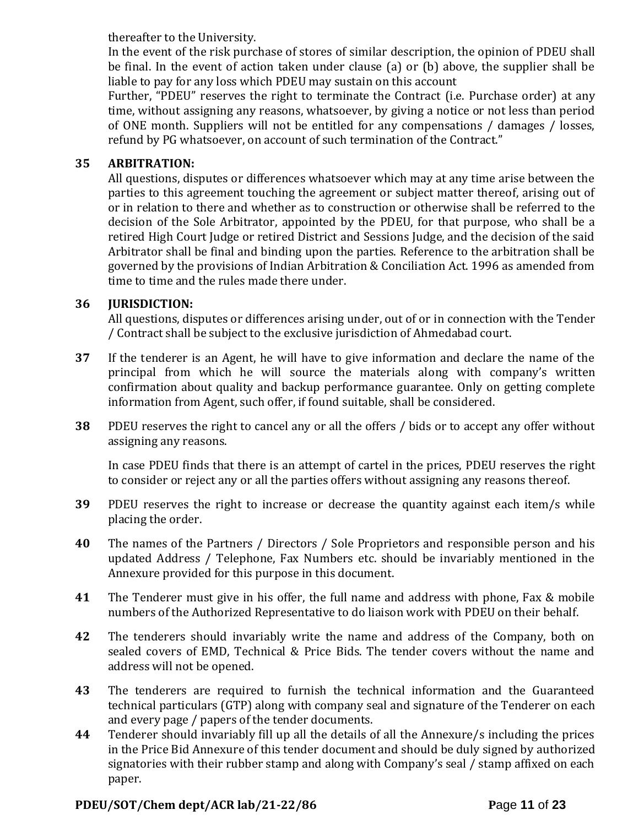thereafter to the University.

In the event of the risk purchase of stores of similar description, the opinion of PDEU shall be final. In the event of action taken under clause (a) or (b) above, the supplier shall be liable to pay for any loss which PDEU may sustain on this account

Further, "PDEU" reserves the right to terminate the Contract (i.e. Purchase order) at any time, without assigning any reasons, whatsoever, by giving a notice or not less than period of ONE month. Suppliers will not be entitled for any compensations / damages / losses, refund by PG whatsoever, on account of such termination of the Contract."

## **35 ARBITRATION:**

All questions, disputes or differences whatsoever which may at any time arise between the parties to this agreement touching the agreement or subject matter thereof, arising out of or in relation to there and whether as to construction or otherwise shall be referred to the decision of the Sole Arbitrator, appointed by the PDEU, for that purpose, who shall be a retired High Court Judge or retired District and Sessions Judge, and the decision of the said Arbitrator shall be final and binding upon the parties. Reference to the arbitration shall be governed by the provisions of Indian Arbitration & Conciliation Act. 1996 as amended from time to time and the rules made there under.

## **36 JURISDICTION:**

All questions, disputes or differences arising under, out of or in connection with the Tender / Contract shall be subject to the exclusive jurisdiction of Ahmedabad court.

- **37** If the tenderer is an Agent, he will have to give information and declare the name of the principal from which he will source the materials along with company's written confirmation about quality and backup performance guarantee. Only on getting complete information from Agent, such offer, if found suitable, shall be considered.
- **38** PDEU reserves the right to cancel any or all the offers / bids or to accept any offer without assigning any reasons.

In case PDEU finds that there is an attempt of cartel in the prices, PDEU reserves the right to consider or reject any or all the parties offers without assigning any reasons thereof.

- **39** PDEU reserves the right to increase or decrease the quantity against each item/s while placing the order.
- **40** The names of the Partners / Directors / Sole Proprietors and responsible person and his updated Address / Telephone, Fax Numbers etc. should be invariably mentioned in the Annexure provided for this purpose in this document.
- **41** The Tenderer must give in his offer, the full name and address with phone, Fax & mobile numbers of the Authorized Representative to do liaison work with PDEU on their behalf.
- **42** The tenderers should invariably write the name and address of the Company, both on sealed covers of EMD, Technical & Price Bids. The tender covers without the name and address will not be opened.
- **43** The tenderers are required to furnish the technical information and the Guaranteed technical particulars (GTP) along with company seal and signature of the Tenderer on each and every page / papers of the tender documents.
- **44** Tenderer should invariably fill up all the details of all the Annexure/s including the prices in the Price Bid Annexure of this tender document and should be duly signed by authorized signatories with their rubber stamp and along with Company's seal / stamp affixed on each paper.

## **PDEU/SOT/Chem dept/ACR lab/21-22/86 P**age **11** of **23**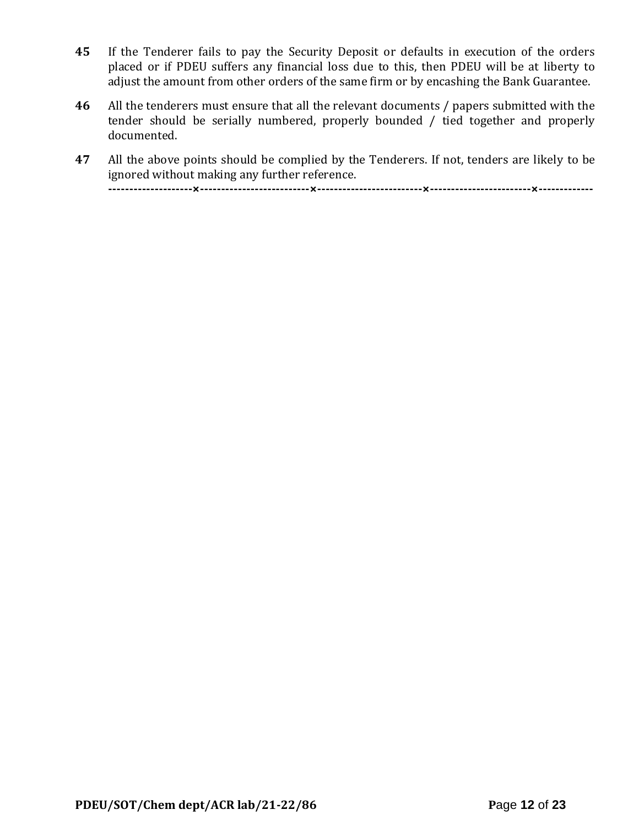- **45** If the Tenderer fails to pay the Security Deposit or defaults in execution of the orders placed or if PDEU suffers any financial loss due to this, then PDEU will be at liberty to adjust the amount from other orders of the same firm or by encashing the Bank Guarantee.
- **46** All the tenderers must ensure that all the relevant documents / papers submitted with the tender should be serially numbered, properly bounded / tied together and properly documented.
- **47** All the above points should be complied by the Tenderers. If not, tenders are likely to be ignored without making any further reference.

**--------------------×--------------------------×-------------------------×------------------------×-------------**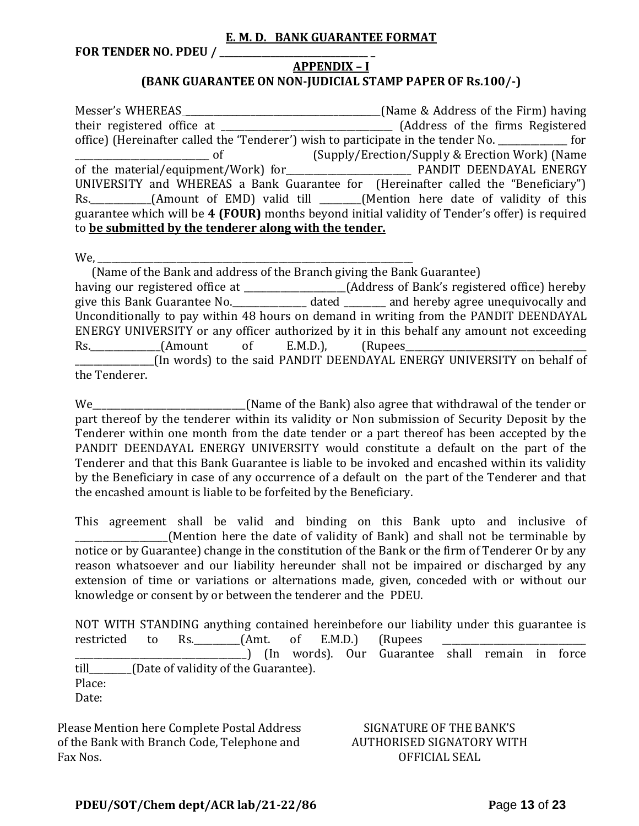#### **E. M. D. BANK GUARANTEE FORMAT**

**FOR TENDER NO. PDEU / \_\_\_\_\_\_\_\_\_\_\_\_\_\_\_\_\_\_\_\_\_\_\_\_\_\_\_\_\_\_\_\_ \_**

#### **APPENDIX – I (BANK GUARANTEE ON NON-JUDICIAL STAMP PAPER OF Rs.100/-)**

Messer's WHEREAS \_\_\_\_\_\_\_\_\_\_\_\_\_\_\_\_\_\_\_\_\_\_\_\_\_\_\_\_\_\_\_\_\_\_\_\_\_\_\_\_\_\_(Name & Address of the Firm) having their registered office at \_\_\_\_\_\_\_\_\_\_\_\_\_\_\_\_\_\_\_\_\_\_\_\_\_\_\_\_\_\_\_\_\_\_\_\_\_ (Address of the firms Registered office) (Hereinafter called the 'Tenderer') wish to participate in the tender No. \_\_\_\_\_\_\_\_\_\_\_\_\_\_\_ for \_\_\_\_\_\_\_\_\_\_\_\_\_\_\_\_\_\_\_\_\_\_\_\_\_\_\_\_\_ of (Supply/Erection/Supply & Erection Work) (Name of the material/equipment/Work) for **Every Manual PANDIT DEENDAYAL ENERGY** UNIVERSITY and WHEREAS a Bank Guarantee for (Hereinafter called the "Beneficiary") Rs. \_\_\_\_\_\_\_\_\_\_\_(Amount of EMD) valid till \_\_\_\_\_\_(Mention here date of validity of this guarantee which will be **4 (FOUR)** months beyond initial validity of Tender's offer) is required to **be submitted by the tenderer along with the tender.**

We,

 (Name of the Bank and address of the Branch giving the Bank Guarantee) having our registered office at \_\_\_\_\_\_\_\_\_\_\_\_\_\_\_\_\_\_\_\_\_\_(Address of Bank's registered office) hereby give this Bank Guarantee No.\_\_\_\_\_\_\_\_\_\_\_\_\_\_\_\_ dated \_\_\_\_\_\_\_\_\_ and hereby agree unequivocally and Unconditionally to pay within 48 hours on demand in writing from the PANDIT DEENDAYAL ENERGY UNIVERSITY or any officer authorized by it in this behalf any amount not exceeding Rs. (Amount of E.M.D.), (Rupees \_\_\_\_\_\_\_\_\_\_\_\_\_\_\_\_\_(In words) to the said PANDIT DEENDAYAL ENERGY UNIVERSITY on behalf of the Tenderer.

We\_\_\_\_\_\_\_\_\_\_\_\_\_\_\_\_\_\_\_\_\_\_\_\_\_\_\_\_\_\_\_\_\_(Name of the Bank) also agree that withdrawal of the tender or part thereof by the tenderer within its validity or Non submission of Security Deposit by the Tenderer within one month from the date tender or a part thereof has been accepted by the PANDIT DEENDAYAL ENERGY UNIVERSITY would constitute a default on the part of the Tenderer and that this Bank Guarantee is liable to be invoked and encashed within its validity by the Beneficiary in case of any occurrence of a default on the part of the Tenderer and that the encashed amount is liable to be forfeited by the Beneficiary.

This agreement shall be valid and binding on this Bank upto and inclusive of (Mention here the date of validity of Bank) and shall not be terminable by notice or by Guarantee) change in the constitution of the Bank or the firm of Tenderer Or by any reason whatsoever and our liability hereunder shall not be impaired or discharged by any extension of time or variations or alternations made, given, conceded with or without our knowledge or consent by or between the tenderer and the PDEU.

NOT WITH STANDING anything contained hereinbefore our liability under this guarantee is restricted to Rs.  $(Amt. of E.M.D.)$  (Rupees \_\_\_\_\_\_\_\_\_\_\_\_\_\_\_\_\_\_\_\_\_\_\_\_\_\_\_\_\_\_\_\_\_\_\_\_\_) (In words). Our Guarantee shall remain in force till\_\_\_\_\_\_\_\_\_(Date of validity of the Guarantee). Place: Date:

Please Mention here Complete Postal Address of the Bank with Branch Code, Telephone and Fax Nos.

SIGNATURE OF THE BANK'S AUTHORISED SIGNATORY WITH OFFICIAL SEAL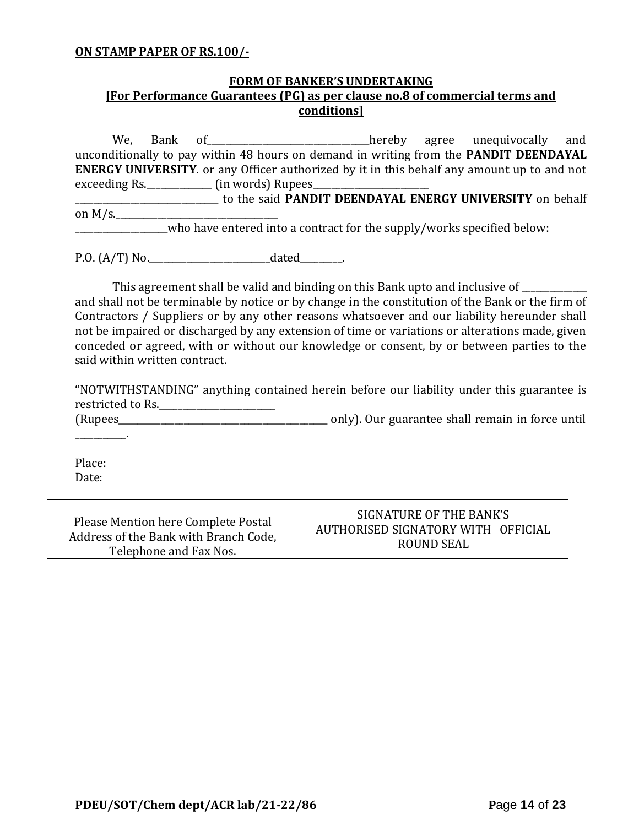#### **ON STAMP PAPER OF RS.100/-**

## **FORM OF BANKER'S UNDERTAKING [For Performance Guarantees (PG) as per clause no.8 of commercial terms and conditions]**

We, Bank of\_\_\_\_\_\_\_\_\_\_\_\_\_\_\_\_\_\_\_\_\_\_\_\_\_\_\_\_\_\_\_\_\_\_\_hereby agree unequivocally and unconditionally to pay within 48 hours on demand in writing from the **PANDIT DEENDAYAL ENERGY UNIVERSITY**. or any Officer authorized by it in this behalf any amount up to and not exceeding Rs. \_\_\_\_\_\_\_\_\_\_\_\_\_\_\_ (in words) Rupees\_\_\_ \_\_\_\_\_\_\_\_\_\_\_\_\_\_\_\_\_\_\_\_\_\_\_\_\_\_\_\_\_\_\_ to the said **PANDIT DEENDAYAL ENERGY UNIVERSITY** on behalf on  $M/s$ . \_\_\_\_\_\_\_\_\_\_\_\_\_\_\_\_\_\_\_\_who have entered into a contract for the supply/works specified below:

P.O. (A/T) No.\_\_\_\_\_\_\_\_\_\_\_\_\_\_\_\_\_\_\_\_\_\_\_\_\_\_dated\_\_\_\_\_\_\_\_\_.

This agreement shall be valid and binding on this Bank upto and inclusive of \_\_\_\_\_\_\_\_\_\_ and shall not be terminable by notice or by change in the constitution of the Bank or the firm of Contractors / Suppliers or by any other reasons whatsoever and our liability hereunder shall not be impaired or discharged by any extension of time or variations or alterations made, given conceded or agreed, with or without our knowledge or consent, by or between parties to the said within written contract.

"NOTWITHSTANDING" anything contained herein before our liability under this guarantee is restricted to Rs.\_\_\_\_\_\_\_\_\_\_\_\_\_\_\_\_\_\_\_\_\_\_\_\_\_

(Rupees\_\_\_\_\_\_\_\_\_\_\_\_\_\_\_\_\_\_\_\_\_\_\_\_\_\_\_\_\_\_\_\_\_\_\_\_\_\_\_\_\_\_\_\_\_ only). Our guarantee shall remain in force until

Place: Date:

 $\mathcal{L}=\mathcal{L}^{\mathcal{L}}$ 

| Please Mention here Complete Postal   | SIGNATURE OF THE BANK'S            |
|---------------------------------------|------------------------------------|
| Address of the Bank with Branch Code, | AUTHORISED SIGNATORY WITH OFFICIAL |
| Telephone and Fax Nos.                | ROUND SEAL                         |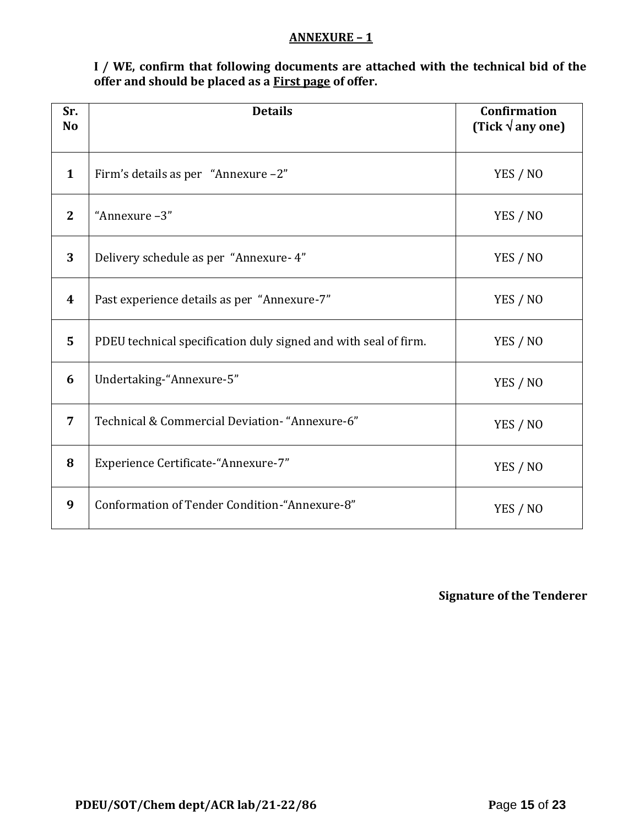#### **ANNEXURE – 1**

**I / WE, confirm that following documents are attached with the technical bid of the offer and should be placed as a First page of offer.**

| Sr.<br>N <sub>o</sub> | <b>Details</b>                                                  | <b>Confirmation</b><br>(Tick $\sqrt{$ any one) |
|-----------------------|-----------------------------------------------------------------|------------------------------------------------|
| $\mathbf{1}$          | Firm's details as per "Annexure -2"                             | YES / NO                                       |
| $\mathbf{2}$          | "Annexure-3"                                                    | YES / NO                                       |
| 3                     | Delivery schedule as per "Annexure- 4"                          | YES / NO                                       |
| $\boldsymbol{4}$      | Past experience details as per "Annexure-7"                     | YES / NO                                       |
| 5                     | PDEU technical specification duly signed and with seal of firm. | YES / NO                                       |
| 6                     | Undertaking-"Annexure-5"                                        | YES / NO                                       |
| $\overline{7}$        | Technical & Commercial Deviation- "Annexure-6"                  | YES / NO                                       |
| 8                     | Experience Certificate-"Annexure-7"                             | YES / NO                                       |
| 9                     | Conformation of Tender Condition-"Annexure-8"                   | YES / NO                                       |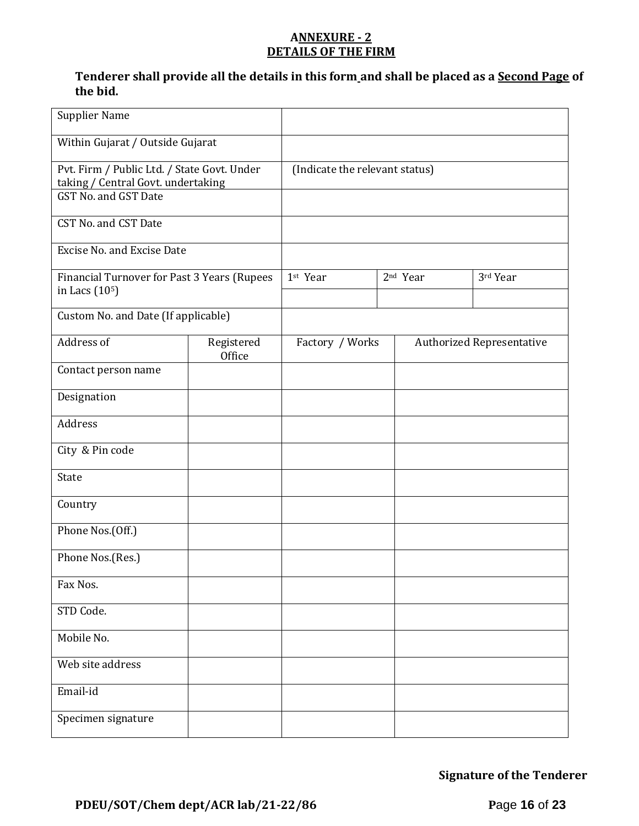#### **ANNEXURE - 2 DETAILS OF THE FIRM**

## **Tenderer shall provide all the details in this form and shall be placed as a Second Page of the bid.**

| <b>Supplier Name</b>                                                                                      |                      |                                |                      |                                  |
|-----------------------------------------------------------------------------------------------------------|----------------------|--------------------------------|----------------------|----------------------------------|
| Within Gujarat / Outside Gujarat                                                                          |                      |                                |                      |                                  |
| Pvt. Firm / Public Ltd. / State Govt. Under<br>taking / Central Govt. undertaking<br>GST No. and GST Date |                      | (Indicate the relevant status) |                      |                                  |
| CST No. and CST Date                                                                                      |                      |                                |                      |                                  |
| <b>Excise No. and Excise Date</b>                                                                         |                      |                                |                      |                                  |
| Financial Turnover for Past 3 Years (Rupees<br>in Lacs (10 <sup>5</sup> )                                 |                      | 1st Year                       | 2 <sup>nd</sup> Year | 3rd Year                         |
| Custom No. and Date (If applicable)                                                                       |                      |                                |                      |                                  |
| Address of                                                                                                | Registered<br>Office | Factory / Works                |                      | <b>Authorized Representative</b> |
| Contact person name                                                                                       |                      |                                |                      |                                  |
| Designation                                                                                               |                      |                                |                      |                                  |
| Address                                                                                                   |                      |                                |                      |                                  |
| City & Pin code                                                                                           |                      |                                |                      |                                  |
| State                                                                                                     |                      |                                |                      |                                  |
| Country                                                                                                   |                      |                                |                      |                                  |
| Phone Nos.(Off.)                                                                                          |                      |                                |                      |                                  |
| Phone Nos.(Res.)                                                                                          |                      |                                |                      |                                  |
| Fax Nos.                                                                                                  |                      |                                |                      |                                  |
| STD Code.                                                                                                 |                      |                                |                      |                                  |
| Mobile No.                                                                                                |                      |                                |                      |                                  |
| Web site address                                                                                          |                      |                                |                      |                                  |
| Email-id                                                                                                  |                      |                                |                      |                                  |
| Specimen signature                                                                                        |                      |                                |                      |                                  |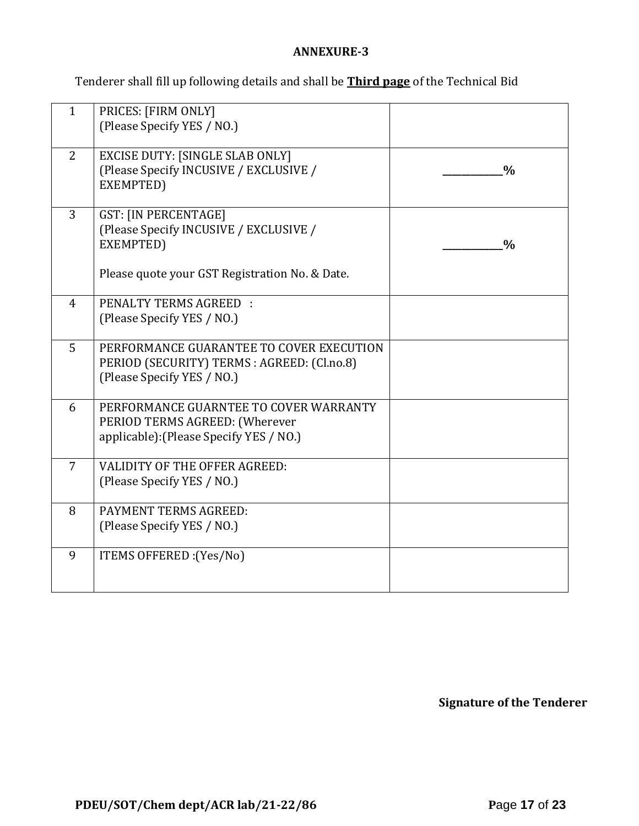## **ANNEXURE-3**

Tenderer shall fill up following details and shall be **Third page** of the Technical Bid

| $\mathbf{1}$   | PRICES: [FIRM ONLY]<br>(Please Specify YES / NO.)                                                                                    |               |
|----------------|--------------------------------------------------------------------------------------------------------------------------------------|---------------|
| 2              | <b>EXCISE DUTY: [SINGLE SLAB ONLY]</b><br>(Please Specify INCUSIVE / EXCLUSIVE /<br>EXEMPTED)                                        | $\frac{0}{0}$ |
| $\overline{3}$ | <b>GST: [IN PERCENTAGE]</b><br>(Please Specify INCUSIVE / EXCLUSIVE /<br>EXEMPTED)<br>Please quote your GST Registration No. & Date. | $\frac{0}{0}$ |
|                |                                                                                                                                      |               |
| $\overline{4}$ | <b>PENALTY TERMS AGREED:</b><br>(Please Specify YES / NO.)                                                                           |               |
| 5              | PERFORMANCE GUARANTEE TO COVER EXECUTION<br>PERIOD (SECURITY) TERMS : AGREED: (Cl.no.8)<br>(Please Specify YES / NO.)                |               |
| 6              | PERFORMANCE GUARNTEE TO COVER WARRANTY<br>PERIOD TERMS AGREED: (Wherever<br>applicable): (Please Specify YES / NO.)                  |               |
| $\overline{7}$ | VALIDITY OF THE OFFER AGREED:<br>(Please Specify YES / NO.)                                                                          |               |
| 8              | PAYMENT TERMS AGREED:<br>(Please Specify YES / NO.)                                                                                  |               |
| 9              | ITEMS OFFERED : (Yes/No)                                                                                                             |               |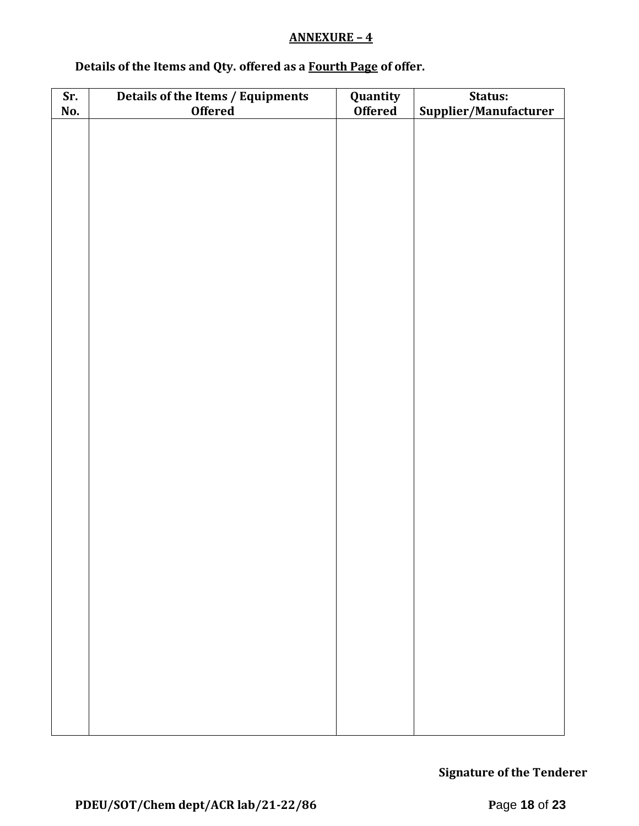## **ANNEXURE – 4**

# **Details of the Items and Qty. offered as a Fourth Page of offer.**

| Sr. | Details of the Items / Equipments | Quantity       | Status:               |  |  |  |
|-----|-----------------------------------|----------------|-----------------------|--|--|--|
| No. | <b>Offered</b>                    | <b>Offered</b> | Supplier/Manufacturer |  |  |  |
|     |                                   |                |                       |  |  |  |
|     |                                   |                |                       |  |  |  |
|     |                                   |                |                       |  |  |  |
|     |                                   |                |                       |  |  |  |
|     |                                   |                |                       |  |  |  |
|     |                                   |                |                       |  |  |  |
|     |                                   |                |                       |  |  |  |
|     |                                   |                |                       |  |  |  |
|     |                                   |                |                       |  |  |  |
|     |                                   |                |                       |  |  |  |
|     |                                   |                |                       |  |  |  |
|     |                                   |                |                       |  |  |  |
|     |                                   |                |                       |  |  |  |
|     |                                   |                |                       |  |  |  |
|     |                                   |                |                       |  |  |  |
|     |                                   |                |                       |  |  |  |
|     |                                   |                |                       |  |  |  |
|     |                                   |                |                       |  |  |  |
|     |                                   |                |                       |  |  |  |
|     |                                   |                |                       |  |  |  |
|     |                                   |                |                       |  |  |  |
|     |                                   |                |                       |  |  |  |
|     |                                   |                |                       |  |  |  |
|     |                                   |                |                       |  |  |  |
|     |                                   |                |                       |  |  |  |
|     |                                   |                |                       |  |  |  |
|     |                                   |                |                       |  |  |  |
|     |                                   |                |                       |  |  |  |
|     |                                   |                |                       |  |  |  |
|     |                                   |                |                       |  |  |  |
|     |                                   |                |                       |  |  |  |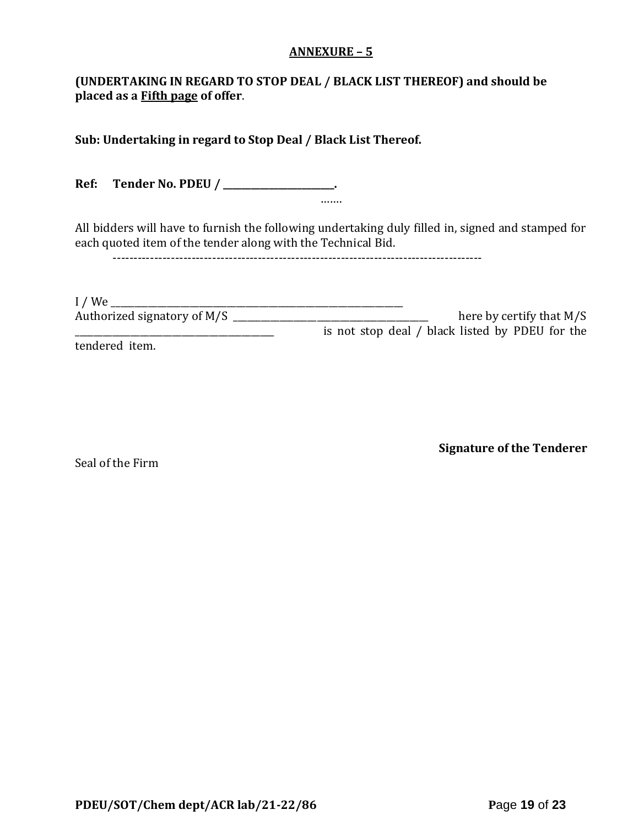#### **ANNEXURE – 5**

## **(UNDERTAKING IN REGARD TO STOP DEAL / BLACK LIST THEREOF) and should be placed as a Fifth page of offer**.

**Sub: Undertaking in regard to Stop Deal / Black List Thereof.**

**Ref: Tender No. PDEU / \_\_\_\_\_\_\_\_\_\_\_\_\_\_\_\_\_\_\_\_\_\_\_\_.** …….

All bidders will have to furnish the following undertaking duly filled in, signed and stamped for each quoted item of the tender along with the Technical Bid.

-----------------------------------------------------------------------------------------

| $I$ / We                    |                                                 |
|-----------------------------|-------------------------------------------------|
| Authorized signatory of M/S | here by certify that $M/S$                      |
|                             | is not stop deal / black listed by PDEU for the |
| tendered item.              |                                                 |

Seal of the Firm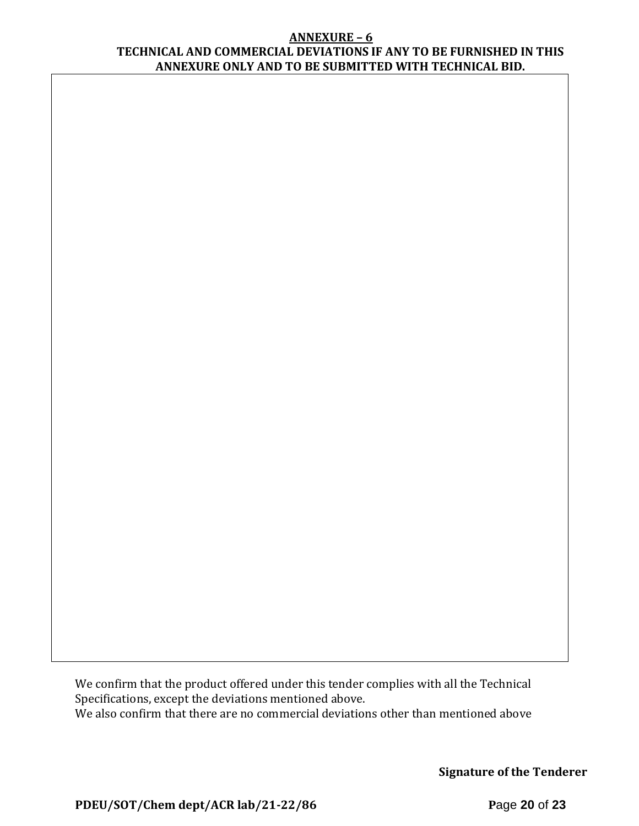#### **ANNEXURE – 6 TECHNICAL AND COMMERCIAL DEVIATIONS IF ANY TO BE FURNISHED IN THIS ANNEXURE ONLY AND TO BE SUBMITTED WITH TECHNICAL BID.**

We confirm that the product offered under this tender complies with all the Technical Specifications, except the deviations mentioned above. We also confirm that there are no commercial deviations other than mentioned above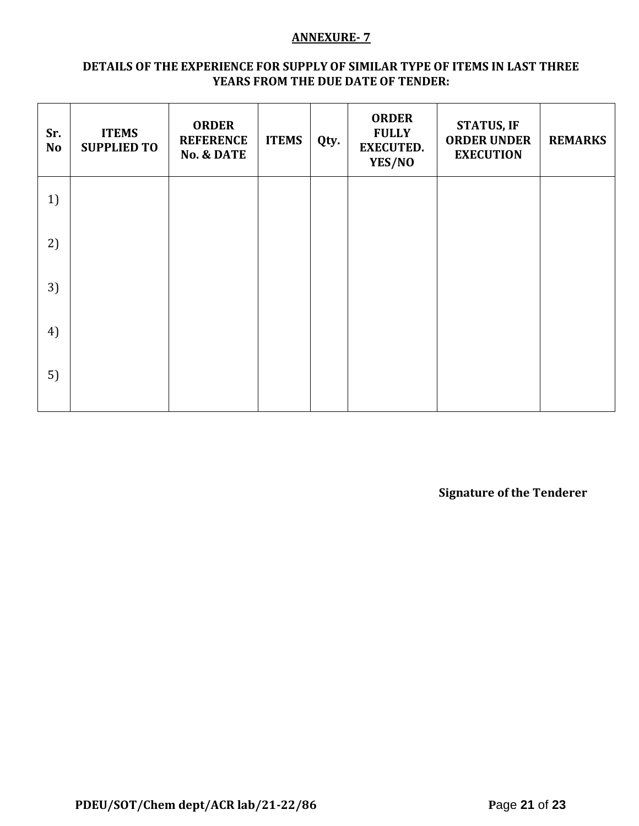#### **ANNEXURE- 7**

#### **DETAILS OF THE EXPERIENCE FOR SUPPLY OF SIMILAR TYPE OF ITEMS IN LAST THREE YEARS FROM THE DUE DATE OF TENDER:**

| Sr.<br><b>No</b> | <b>ITEMS</b><br><b>SUPPLIED TO</b> | <b>ORDER</b><br><b>REFERENCE</b><br><b>No. &amp; DATE</b> | <b>ITEMS</b> | Qty. | <b>ORDER</b><br><b>FULLY</b><br><b>EXECUTED.</b><br>YES/NO | <b>STATUS, IF</b><br><b>ORDER UNDER</b><br><b>EXECUTION</b> | <b>REMARKS</b> |
|------------------|------------------------------------|-----------------------------------------------------------|--------------|------|------------------------------------------------------------|-------------------------------------------------------------|----------------|
| 1)               |                                    |                                                           |              |      |                                                            |                                                             |                |
| 2)               |                                    |                                                           |              |      |                                                            |                                                             |                |
| 3)               |                                    |                                                           |              |      |                                                            |                                                             |                |
| 4)               |                                    |                                                           |              |      |                                                            |                                                             |                |
| 5)               |                                    |                                                           |              |      |                                                            |                                                             |                |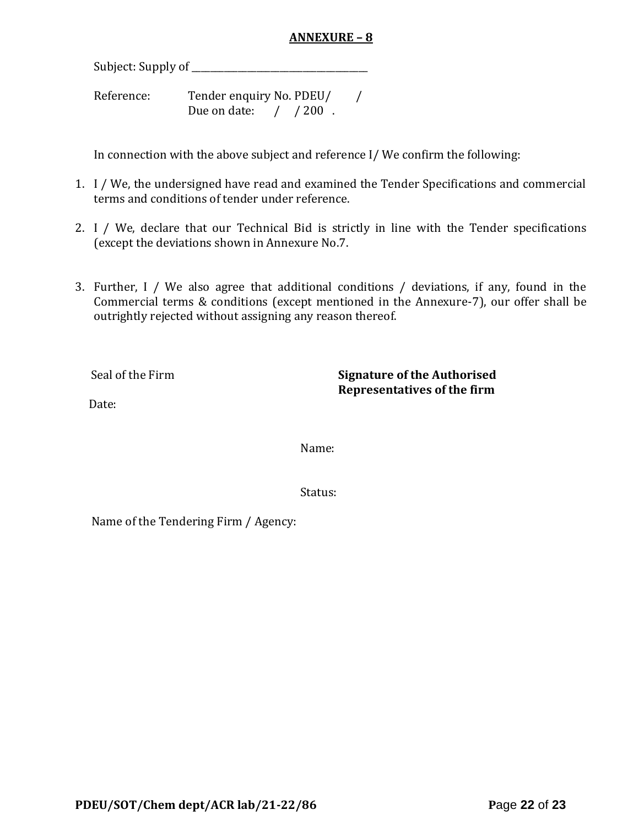## **ANNEXURE – 8**

Subject: Supply of \_\_\_\_\_\_\_\_\_\_\_\_\_\_\_\_\_\_\_\_\_\_\_\_\_\_\_\_\_\_\_\_\_\_\_\_\_\_

Reference: Tender enquiry No. PDEU/ / Due on date: / / 200.

In connection with the above subject and reference I/ We confirm the following:

- 1. I / We, the undersigned have read and examined the Tender Specifications and commercial terms and conditions of tender under reference.
- 2. I / We, declare that our Technical Bid is strictly in line with the Tender specifications (except the deviations shown in Annexure No.7.
- 3. Further, I / We also agree that additional conditions / deviations, if any, found in the Commercial terms & conditions (except mentioned in the Annexure-7), our offer shall be outrightly rejected without assigning any reason thereof.

Seal of the Firm **Signature of the Authorised Representatives of the firm**

Date:

Name:

Status:

Name of the Tendering Firm / Agency: